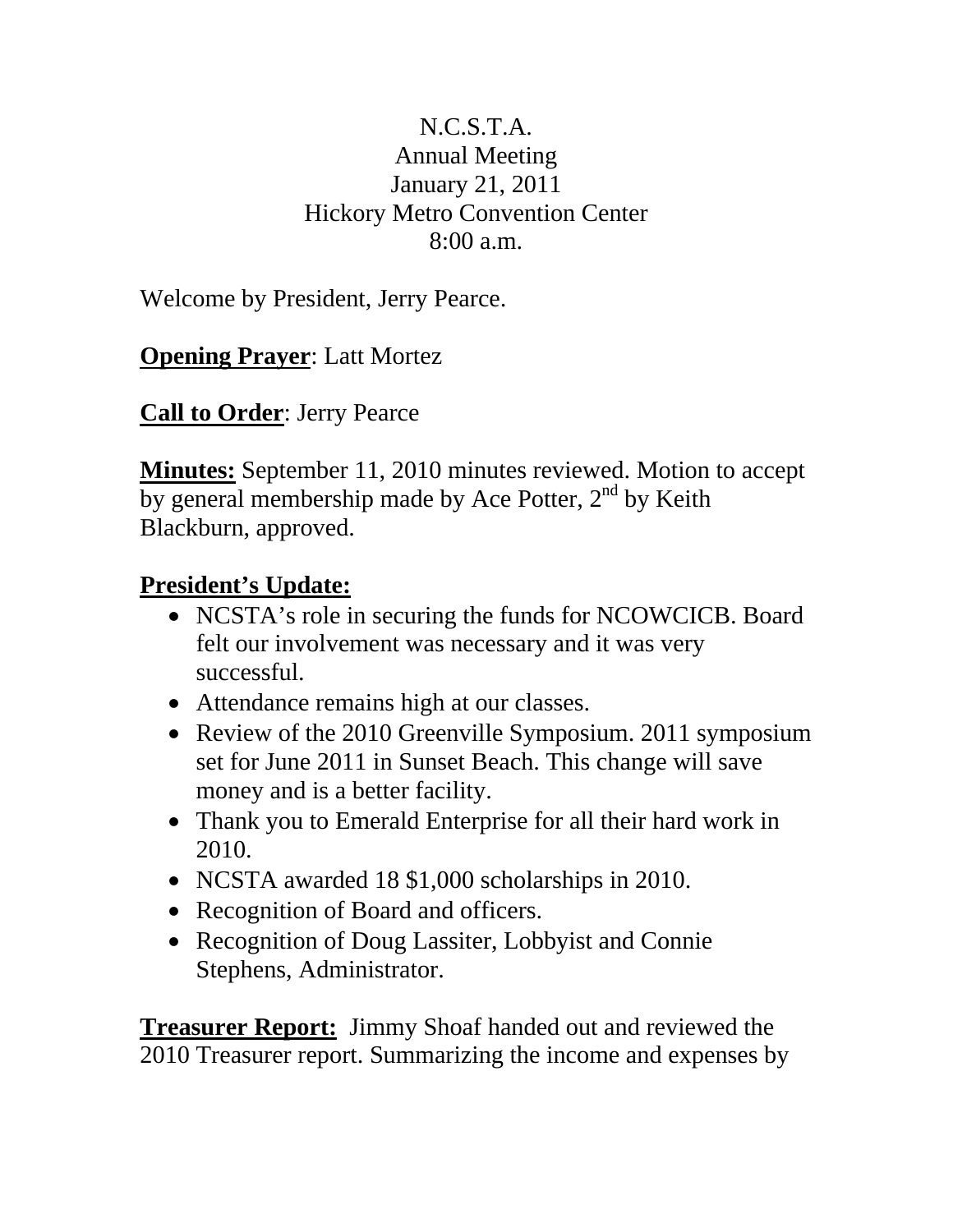## N.C.S.T.A. Annual Meeting January 21, 2011 Hickory Metro Convention Center 8:00 a.m.

Welcome by President, Jerry Pearce.

**Opening Prayer**: Latt Mortez

**Call to Order**: Jerry Pearce

**Minutes:** September 11, 2010 minutes reviewed. Motion to accept by general membership made by Ace Potter,  $2<sup>nd</sup>$  by Keith Blackburn, approved.

## **President's Update:**

- NCSTA's role in securing the funds for NCOWCICB. Board felt our involvement was necessary and it was very successful.
- Attendance remains high at our classes.
- Review of the 2010 Greenville Symposium. 2011 symposium set for June 2011 in Sunset Beach. This change will save money and is a better facility.
- Thank you to Emerald Enterprise for all their hard work in 2010.
- NCSTA awarded 18 \$1,000 scholarships in 2010.
- Recognition of Board and officers.
- Recognition of Doug Lassiter, Lobbyist and Connie Stephens, Administrator.

**Treasurer Report:** Jimmy Shoaf handed out and reviewed the 2010 Treasurer report. Summarizing the income and expenses by